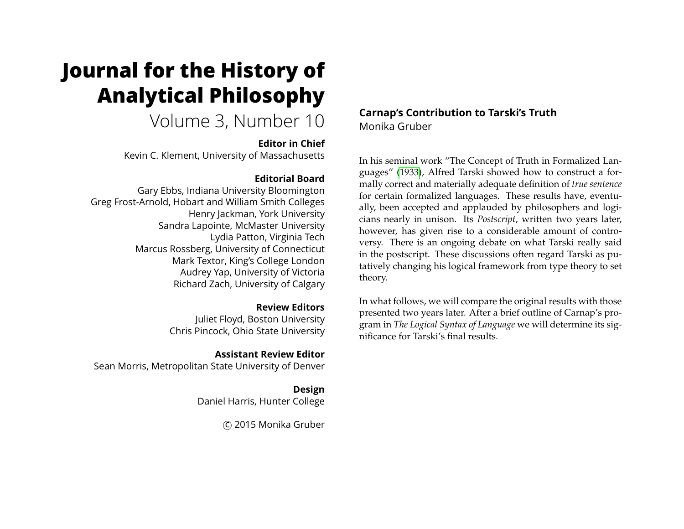# **Journal for the History of Analytical Philosophy**

## Volume 3, Number 10

#### **Editor in Chief**

Kevin C. Klement, University of Massachusetts

## **Editorial Board**

Gary Ebbs, Indiana University Bloomington Greg Frost-Arnold, Hobart and William Smith Colleges Henry Jackman, York University Sandra Lapointe, McMaster University Lydia Patton, Virginia Tech Marcus Rossberg, University of Connecticut Mark Textor, King's College London Audrey Yap, University of Victoria Richard Zach, University of Calgary

## **Review Editors**

Juliet Floyd, Boston University Chris Pincock, Ohio State University

## **Assistant Review Editor**

Sean Morris, Metropolitan State University of Denver

## **Design** Daniel Harris, Hunter College

c 2015 Monika Gruber

## **Carnap's Contribution to Tarski's Truth** Monika Gruber

In his seminal work "The Concept of Truth in Formalized Languages" [\(1933\)](#page-14-0), Alfred Tarski showed how to construct a formally correct and materially adequate definition of *true sentence* for certain formalized languages. These results have, eventually, been accepted and applauded by philosophers and logicians nearly in unison. Its *Postscript*, written two years later, however, has given rise to a considerable amount of controversy. There is an ongoing debate on what Tarski really said in the postscript. These discussions often regard Tarski as putatively changing his logical framework from type theory to set theory.

In what follows, we will compare the original results with those presented two years later. After a brief outline of Carnap's program in *The Logical Syntax of Language* we will determine its significance for Tarski's final results.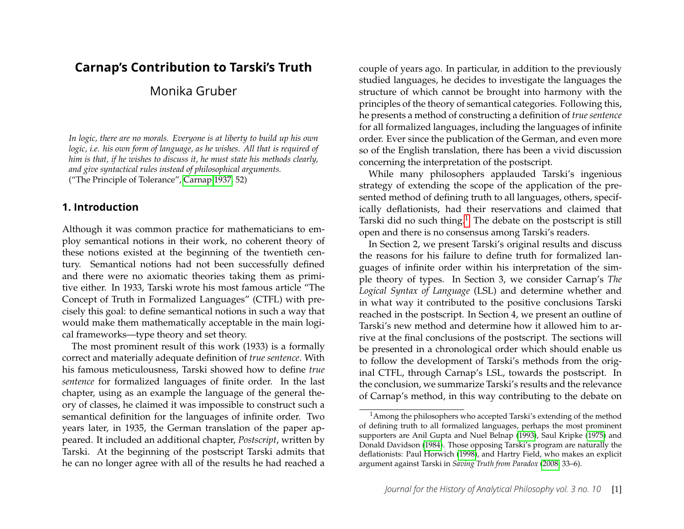## **Carnap's Contribution to Tarski's Truth**

## Monika Gruber

*In logic, there are no morals. Everyone is at liberty to build up his own logic, i.e. his own form of language, as he wishes. All that is required of him is that, if he wishes to discuss it, he must state his methods clearly, and give syntactical rules instead of philosophical arguments.* ("The Principle of Tolerance", [Carnap 1937,](#page-12-0) 52)

#### **1. Introduction**

Although it was common practice for mathematicians to employ semantical notions in their work, no coherent theory of these notions existed at the beginning of the twentieth century. Semantical notions had not been successfully defined and there were no axiomatic theories taking them as primitive either. In 1933, Tarski wrote his most famous article "The Concept of Truth in Formalized Languages" (CTFL) with precisely this goal: to define semantical notions in such a way that would make them mathematically acceptable in the main logical frameworks—type theory and set theory.

The most prominent result of this work (1933) is a formally correct and materially adequate definition of *true sentence*. With his famous meticulousness, Tarski showed how to define *true sentence* for formalized languages of finite order. In the last chapter, using as an example the language of the general theory of classes, he claimed it was impossible to construct such a semantical definition for the languages of infinite order. Two years later, in 1935, the German translation of the paper appeared. It included an additional chapter, *Postscript*, written by Tarski. At the beginning of the postscript Tarski admits that he can no longer agree with all of the results he had reached a

couple of years ago. In particular, in addition to the previously studied languages, he decides to investigate the languages the structure of which cannot be brought into harmony with the principles of the theory of semantical categories. Following this, he presents a method of constructing a definition of *true sentence* for all formalized languages, including the languages of infinite order. Ever since the publication of the German, and even more so of the English translation, there has been a vivid discussion concerning the interpretation of the postscript.

While many philosophers applauded Tarski's ingenious strategy of extending the scope of the application of the presented method of defining truth to all languages, others, specifically deflationists, had their reservations and claimed that Tarski did no such thing.<sup>[1](#page-1-0)</sup> The debate on the postscript is still open and there is no consensus among Tarski's readers.

In Section 2, we present Tarski's original results and discuss the reasons for his failure to define truth for formalized languages of infinite order within his interpretation of the simple theory of types. In Section 3, we consider Carnap's *The Logical Syntax of Language* (LSL) and determine whether and in what way it contributed to the positive conclusions Tarski reached in the postscript. In Section 4, we present an outline of Tarski's new method and determine how it allowed him to arrive at the final conclusions of the postscript. The sections will be presented in a chronological order which should enable us to follow the development of Tarski's methods from the original CTFL, through Carnap's LSL, towards the postscript. In the conclusion, we summarize Tarski's results and the relevance of Carnap's method, in this way contributing to the debate on

<span id="page-1-0"></span><sup>&</sup>lt;sup>1</sup>Among the philosophers who accepted Tarski's extending of the method of defining truth to all formalized languages, perhaps the most prominent supporters are Anil Gupta and Nuel Belnap [\(1993\)](#page-13-0), Saul Kripke [\(1975\)](#page-13-1) and Donald Davidson [\(1984\)](#page-12-1). Those opposing Tarski's program are naturally the deflationists: Paul Horwich [\(1998\)](#page-13-2), and Hartry Field, who makes an explicit argument against Tarski in *Saving Truth from Paradox* [\(2008,](#page-13-3) 33–6).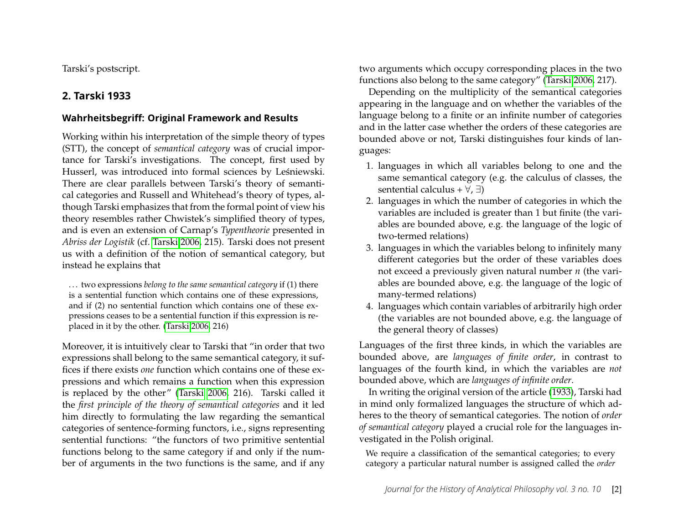Tarski's postscript.

## **2. Tarski 1933**

#### **Wahrheitsbegriff: Original Framework and Results**

Working within his interpretation of the simple theory of types (STT), the concept of *semantical category* was of crucial importance for Tarski's investigations. The concept, first used by Husserl, was introduced into formal sciences by Leśniewski. There are clear parallels between Tarski's theory of semantical categories and Russell and Whitehead's theory of types, although Tarski emphasizes that from the formal point of view his theory resembles rather Chwistek's simplified theory of types, and is even an extension of Carnap's *Typentheorie* presented in *Abriss der Logistik* (cf. [Tarski 2006,](#page-14-1) 215). Tarski does not present us with a definition of the notion of semantical category, but instead he explains that

. . . two expressions *belong to the same semantical category* if (1) there is a sentential function which contains one of these expressions, and if (2) no sentential function which contains one of these expressions ceases to be a sentential function if this expression is replaced in it by the other. [\(Tarski 2006,](#page-14-1) 216)

Moreover, it is intuitively clear to Tarski that "in order that two expressions shall belong to the same semantical category, it suffices if there exists *one* function which contains one of these expressions and which remains a function when this expression is replaced by the other" [\(Tarski 2006,](#page-14-1) 216). Tarski called it the *first principle of the theory of semantical categories* and it led him directly to formulating the law regarding the semantical categories of sentence-forming functors, i.e., signs representing sentential functions: "the functors of two primitive sentential functions belong to the same category if and only if the number of arguments in the two functions is the same, and if any two arguments which occupy corresponding places in the two functions also belong to the same category" [\(Tarski 2006,](#page-14-1) 217).

Depending on the multiplicity of the semantical categories appearing in the language and on whether the variables of the language belong to a finite or an infinite number of categories and in the latter case whether the orders of these categories are bounded above or not, Tarski distinguishes four kinds of languages:

- 1. languages in which all variables belong to one and the same semantical category (e.g. the calculus of classes, the sentential calculus +  $\forall$ ,  $\exists$ )
- 2. languages in which the number of categories in which the variables are included is greater than 1 but finite (the variables are bounded above, e.g. the language of the logic of two-termed relations)
- 3. languages in which the variables belong to infinitely many different categories but the order of these variables does not exceed a previously given natural number *n* (the variables are bounded above, e.g. the language of the logic of many-termed relations)
- 4. languages which contain variables of arbitrarily high order (the variables are not bounded above, e.g. the language of the general theory of classes)

Languages of the first three kinds, in which the variables are bounded above, are *languages of finite order*, in contrast to languages of the fourth kind, in which the variables are *not* bounded above, which are *languages of infinite order*.

In writing the original version of the article [\(1933\)](#page-14-0), Tarski had in mind only formalized languages the structure of which adheres to the theory of semantical categories. The notion of *order of semantical category* played a crucial role for the languages investigated in the Polish original.

We require a classification of the semantical categories; to every category a particular natural number is assigned called the *order*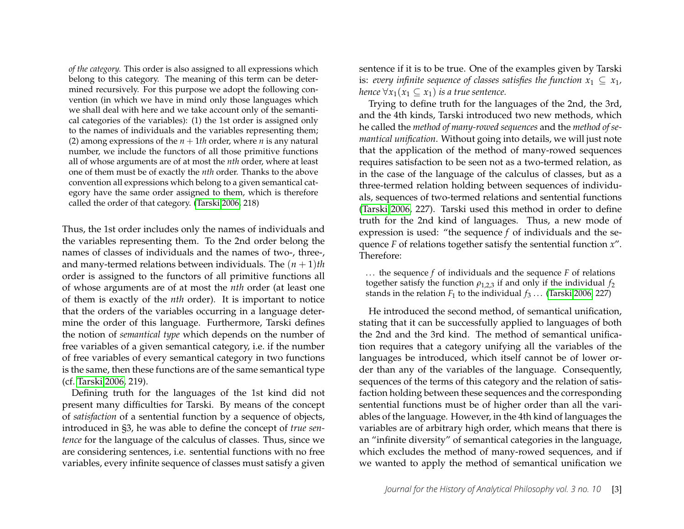*of the category.* This order is also assigned to all expressions which belong to this category. The meaning of this term can be determined recursively. For this purpose we adopt the following convention (in which we have in mind only those languages which we shall deal with here and we take account only of the semantical categories of the variables): (1) the 1st order is assigned only to the names of individuals and the variables representing them; (2) among expressions of the  $n + 1$ *th* order, where *n* is any natural number, we include the functors of all those primitive functions all of whose arguments are of at most the *nth* order, where at least one of them must be of exactly the *nth* order. Thanks to the above convention all expressions which belong to a given semantical category have the same order assigned to them, which is therefore called the order of that category. [\(Tarski 2006,](#page-14-1) 218)

Thus, the 1st order includes only the names of individuals and the variables representing them. To the 2nd order belong the names of classes of individuals and the names of two-, three-, and many-termed relations between individuals. The  $(n + 1)$ <sup>th</sup> order is assigned to the functors of all primitive functions all of whose arguments are of at most the *nth* order (at least one of them is exactly of the *nth* order). It is important to notice that the orders of the variables occurring in a language determine the order of this language. Furthermore, Tarski defines the notion of *semantical type* which depends on the number of free variables of a given semantical category, i.e. if the number of free variables of every semantical category in two functions is the same, then these functions are of the same semantical type (cf. [Tarski 2006,](#page-14-1) 219).

Defining truth for the languages of the 1st kind did not present many difficulties for Tarski. By means of the concept of *satisfaction* of a sentential function by a sequence of objects, introduced in §3, he was able to define the concept of *true sentence* for the language of the calculus of classes. Thus, since we are considering sentences, i.e. sentential functions with no free variables, every infinite sequence of classes must satisfy a given

sentence if it is to be true. One of the examples given by Tarski is: *every infinite sequence of classes satisfies the function*  $x_1 \subseteq x_1$ , *hence*  $\forall x_1(x_1 \subseteq x_1)$  *is a true sentence.* 

Trying to define truth for the languages of the 2nd, the 3rd, and the 4th kinds, Tarski introduced two new methods, which he called the *method of many-rowed sequences* and the *method of semantical unification*. Without going into details, we will just note that the application of the method of many-rowed sequences requires satisfaction to be seen not as a two-termed relation, as in the case of the language of the calculus of classes, but as a three-termed relation holding between sequences of individuals, sequences of two-termed relations and sentential functions [\(Tarski 2006,](#page-14-1) 227). Tarski used this method in order to define truth for the 2nd kind of languages. Thus, a new mode of expression is used: "the sequence *f* of individuals and the sequence *F* of relations together satisfy the sentential function *x*". Therefore:

... the sequence  $f$  of individuals and the sequence  $F$  of relations together satisfy the function  $\rho_{1,2,3}$  if and only if the individual  $f_2$ stands in the relation  $F_1$  to the individual  $f_3$  ... [\(Tarski 2006,](#page-14-1) 227)

He introduced the second method, of semantical unification, stating that it can be successfully applied to languages of both the 2nd and the 3rd kind. The method of semantical unification requires that a category unifying all the variables of the languages be introduced, which itself cannot be of lower order than any of the variables of the language. Consequently, sequences of the terms of this category and the relation of satisfaction holding between these sequences and the corresponding sentential functions must be of higher order than all the variables of the language. However, in the 4th kind of languages the variables are of arbitrary high order, which means that there is an "infinite diversity" of semantical categories in the language, which excludes the method of many-rowed sequences, and if we wanted to apply the method of semantical unification we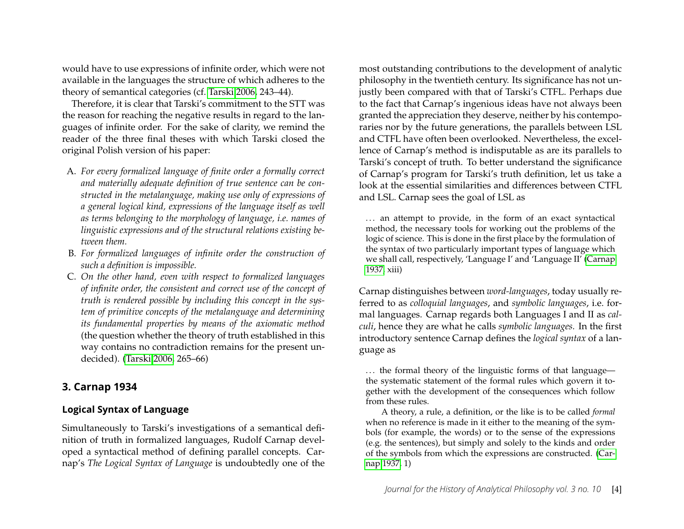would have to use expressions of infinite order, which were not available in the languages the structure of which adheres to the theory of semantical categories (cf. [Tarski 2006,](#page-14-1) 243–44).

Therefore, it is clear that Tarski's commitment to the STT was the reason for reaching the negative results in regard to the languages of infinite order. For the sake of clarity, we remind the reader of the three final theses with which Tarski closed the original Polish version of his paper:

- A. *For every formalized language of finite order a formally correct and materially adequate definition of true sentence can be constructed in the metalanguage, making use only of expressions of a general logical kind, expressions of the language itself as well as terms belonging to the morphology of language, i.e. names of linguistic expressions and of the structural relations existing between them.*
- B. *For formalized languages of infinite order the construction of such a definition is impossible.*
- C. *On the other hand, even with respect to formalized languages of infinite order, the consistent and correct use of the concept of truth is rendered possible by including this concept in the system of primitive concepts of the metalanguage and determining its fundamental properties by means of the axiomatic method* (the question whether the theory of truth established in this way contains no contradiction remains for the present undecided). [\(Tarski 2006,](#page-14-1) 265–66)

#### **3. Carnap 1934**

#### **Logical Syntax of Language**

Simultaneously to Tarski's investigations of a semantical definition of truth in formalized languages, Rudolf Carnap developed a syntactical method of defining parallel concepts. Carnap's *The Logical Syntax of Language* is undoubtedly one of the most outstanding contributions to the development of analytic philosophy in the twentieth century. Its significance has not unjustly been compared with that of Tarski's CTFL. Perhaps due to the fact that Carnap's ingenious ideas have not always been granted the appreciation they deserve, neither by his contemporaries nor by the future generations, the parallels between LSL and CTFL have often been overlooked. Nevertheless, the excellence of Carnap's method is indisputable as are its parallels to Tarski's concept of truth. To better understand the significance of Carnap's program for Tarski's truth definition, let us take a look at the essential similarities and differences between CTFL and LSL. Carnap sees the goal of LSL as

... an attempt to provide, in the form of an exact syntactical method, the necessary tools for working out the problems of the logic of science. This is done in the first place by the formulation of the syntax of two particularly important types of language which we shall call, respectively, 'Language I' and 'Language II' [\(Carnap](#page-12-0) [1937,](#page-12-0) xiii)

Carnap distinguishes between *word-languages*, today usually referred to as *colloquial languages*, and *symbolic languages*, i.e. formal languages. Carnap regards both Languages I and II as *calculi*, hence they are what he calls *symbolic languages.* In the first introductory sentence Carnap defines the *logical syntax* of a language as

... the formal theory of the linguistic forms of that language the systematic statement of the formal rules which govern it together with the development of the consequences which follow from these rules.

A theory, a rule, a definition, or the like is to be called *formal* when no reference is made in it either to the meaning of the symbols (for example, the words) or to the sense of the expressions (e.g. the sentences), but simply and solely to the kinds and order of the symbols from which the expressions are constructed. [\(Car](#page-12-0)[nap 1937,](#page-12-0) 1)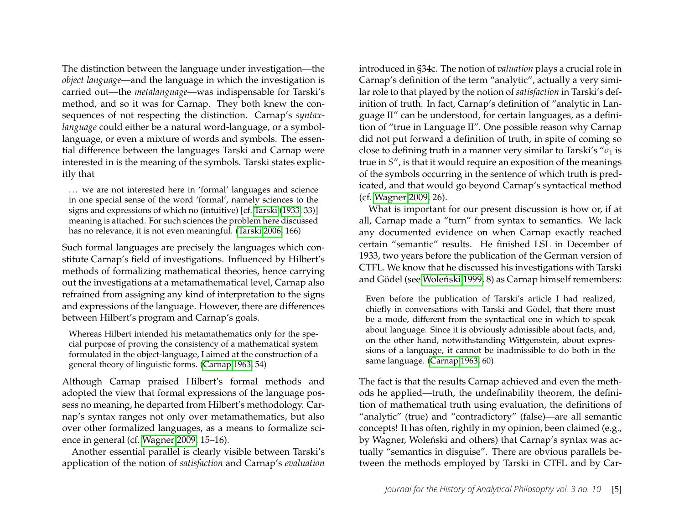The distinction between the language under investigation—the *object language*—and the language in which the investigation is carried out—the *metalanguage*—was indispensable for Tarski's method, and so it was for Carnap. They both knew the consequences of not respecting the distinction. Carnap's *syntaxlanguage* could either be a natural word-language, or a symbollanguage, or even a mixture of words and symbols. The essential difference between the languages Tarski and Carnap were interested in is the meaning of the symbols. Tarski states explicitly that

... we are not interested here in 'formal' languages and science in one special sense of the word 'formal', namely sciences to the signs and expressions of which no (intuitive) [cf. [Tarski \(1933,](#page-14-0) 33)] meaning is attached. For such sciences the problem here discussed has no relevance, it is not even meaningful. [\(Tarski 2006,](#page-14-1) 166)

Such formal languages are precisely the languages which constitute Carnap's field of investigations. Influenced by Hilbert's methods of formalizing mathematical theories, hence carrying out the investigations at a metamathematical level, Carnap also refrained from assigning any kind of interpretation to the signs and expressions of the language. However, there are differences between Hilbert's program and Carnap's goals.

Whereas Hilbert intended his metamathematics only for the special purpose of proving the consistency of a mathematical system formulated in the object-language, I aimed at the construction of a general theory of linguistic forms. [\(Carnap 1963,](#page-12-2) 54)

Although Carnap praised Hilbert's formal methods and adopted the view that formal expressions of the language possess no meaning, he departed from Hilbert's methodology. Carnap's syntax ranges not only over metamathematics, but also over other formalized languages, as a means to formalize science in general (cf. [Wagner 2009,](#page-14-2) 15–16).

Another essential parallel is clearly visible between Tarski's application of the notion of *satisfaction* and Carnap's *evaluation* introduced in §34c. The notion of *valuation* plays a crucial role in Carnap's definition of the term "analytic", actually a very similar role to that played by the notion of *satisfaction* in Tarski's definition of truth. In fact, Carnap's definition of "analytic in Language II" can be understood, for certain languages, as a definition of "true in Language II". One possible reason why Carnap did not put forward a definition of truth, in spite of coming so close to defining truth in a manner very similar to Tarski's "*σ*<sup>1</sup> is true in *S*", is that it would require an exposition of the meanings of the symbols occurring in the sentence of which truth is predicated, and that would go beyond Carnap's syntactical method (cf. [Wagner 2009,](#page-14-2) 26).

What is important for our present discussion is how or, if at all, Carnap made a "turn" from syntax to semantics. We lack any documented evidence on when Carnap exactly reached certain "semantic" results. He finished LSL in December of 1933, two years before the publication of the German version of CTFL. We know that he discussed his investigations with Tarski and Gödel (see Woleński 1999, 8) as Carnap himself remembers:

Even before the publication of Tarski's article I had realized, chiefly in conversations with Tarski and Gödel, that there must be a mode, different from the syntactical one in which to speak about language. Since it is obviously admissible about facts, and, on the other hand, notwithstanding Wittgenstein, about expressions of a language, it cannot be inadmissible to do both in the same language. [\(Carnap 1963,](#page-12-2) 60)

The fact is that the results Carnap achieved and even the methods he applied—truth, the undefinability theorem, the definition of mathematical truth using evaluation, the definitions of "analytic" (true) and "contradictory" (false)—are all semantic concepts! It has often, rightly in my opinion, been claimed (e.g., by Wagner, Woleński and others) that Carnap's syntax was actually "semantics in disguise". There are obvious parallels between the methods employed by Tarski in CTFL and by Car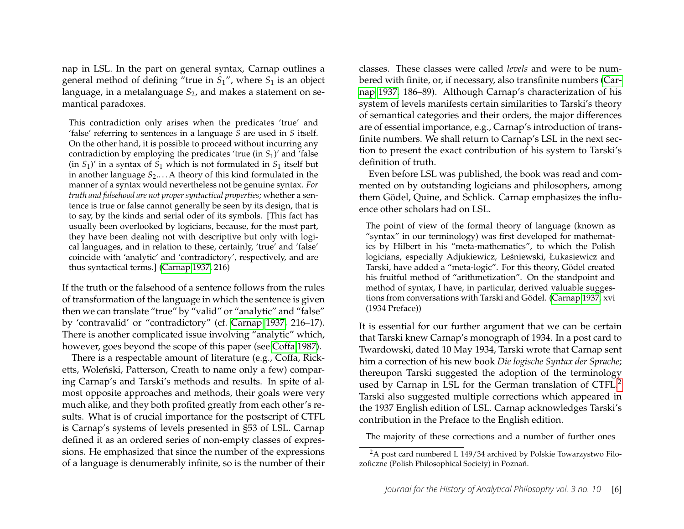nap in LSL. In the part on general syntax, Carnap outlines a general method of defining "true in  $S_1$ ", where  $S_1$  is an object language, in a metalanguage *S*<sub>2</sub>, and makes a statement on semantical paradoxes.

This contradiction only arises when the predicates 'true' and 'false' referring to sentences in a language *S* are used in *S* itself. On the other hand, it is possible to proceed without incurring any contradiction by employing the predicates 'true (in *S*1)' and 'false  $(in S<sub>1</sub>)'$  in a syntax of  $S<sub>1</sub>$  which is not formulated in  $S<sub>1</sub>$  itself but in another language *S*<sub>2</sub>.... A theory of this kind formulated in the manner of a syntax would nevertheless not be genuine syntax. *For truth and falsehood are not proper syntactical properties;* whether a sentence is true or false cannot generally be seen by its design, that is to say, by the kinds and serial oder of its symbols. [This fact has usually been overlooked by logicians, because, for the most part, they have been dealing not with descriptive but only with logical languages, and in relation to these, certainly, 'true' and 'false' coincide with 'analytic' and 'contradictory', respectively, and are thus syntactical terms.] [\(Carnap 1937,](#page-12-0) 216)

If the truth or the falsehood of a sentence follows from the rules of transformation of the language in which the sentence is given then we can translate "true" by "valid" or "analytic" and "false" by 'contravalid' or "contradictory" (cf. [Carnap 1937,](#page-12-0) 216–17). There is another complicated issue involving "analytic" which, however, goes beyond the scope of this paper (see [Coffa 1987\)](#page-12-3).

There is a respectable amount of literature (e.g., Coffa, Ricketts, Woleński, Patterson, Creath to name only a few) comparing Carnap's and Tarski's methods and results. In spite of almost opposite approaches and methods, their goals were very much alike, and they both profited greatly from each other's results. What is of crucial importance for the postscript of CTFL is Carnap's systems of levels presented in §53 of LSL. Carnap defined it as an ordered series of non-empty classes of expressions. He emphasized that since the number of the expressions of a language is denumerably infinite, so is the number of their

classes. These classes were called *levels* and were to be numbered with finite, or, if necessary, also transfinite numbers [\(Car](#page-12-0)[nap 1937,](#page-12-0) 186–89). Although Carnap's characterization of his system of levels manifests certain similarities to Tarski's theory of semantical categories and their orders, the major differences are of essential importance, e.g., Carnap's introduction of transfinite numbers. We shall return to Carnap's LSL in the next section to present the exact contribution of his system to Tarski's definition of truth.

Even before LSL was published, the book was read and commented on by outstanding logicians and philosophers, among them Gödel, Quine, and Schlick. Carnap emphasizes the influence other scholars had on LSL.

The point of view of the formal theory of language (known as "syntax" in our terminology) was first developed for mathematics by Hilbert in his "meta-mathematics", to which the Polish logicians, especially Adjukiewicz, Leśniewski, Łukasiewicz and Tarski, have added a "meta-logic". For this theory, Gödel created his fruitful method of "arithmetization". On the standpoint and method of syntax, I have, in particular, derived valuable suggestions from conversations with Tarski and Gödel. [\(Carnap 1937,](#page-12-0) xvi (1934 Preface))

It is essential for our further argument that we can be certain that Tarski knew Carnap's monograph of 1934. In a post card to Twardowski, dated 10 May 1934, Tarski wrote that Carnap sent him a correction of his new book *Die logische Syntax der Sprache*; thereupon Tarski suggested the adoption of the terminology used by Carnap in LSL for the German translation of CTFL.<sup>[2](#page-6-0)</sup> Tarski also suggested multiple corrections which appeared in the 1937 English edition of LSL. Carnap acknowledges Tarski's contribution in the Preface to the English edition.

The majority of these corrections and a number of further ones

<span id="page-6-0"></span><sup>2</sup>A post card numbered L 149/34 archived by Polskie Towarzystwo Filozoficzne (Polish Philosophical Society) in Poznań.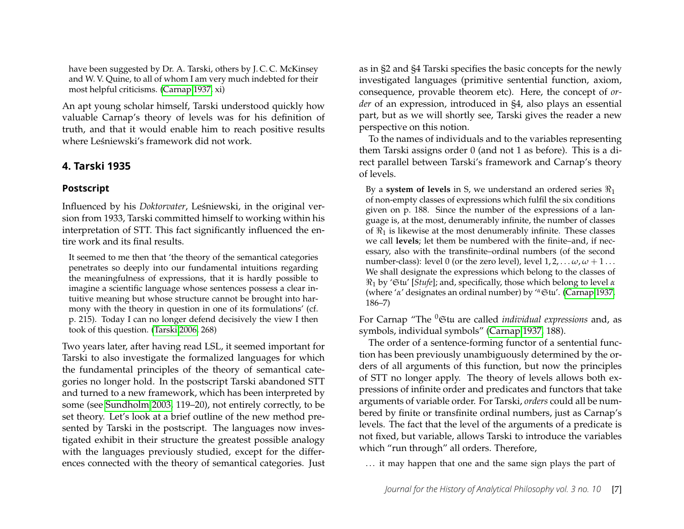have been suggested by Dr. A. Tarski, others by J. C. C. McKinsey and W. V. Quine, to all of whom I am very much indebted for their most helpful criticisms. [\(Carnap 1937,](#page-12-0) xi)

An apt young scholar himself, Tarski understood quickly how valuable Carnap's theory of levels was for his definition of truth, and that it would enable him to reach positive results where Leśniewski's framework did not work.

#### **4. Tarski 1935**

#### **Postscript**

Influenced by his *Doktorvater*, Leśniewski, in the original version from 1933, Tarski committed himself to working within his interpretation of STT. This fact significantly influenced the entire work and its final results.

It seemed to me then that 'the theory of the semantical categories penetrates so deeply into our fundamental intuitions regarding the meaningfulness of expressions, that it is hardly possible to imagine a scientific language whose sentences possess a clear intuitive meaning but whose structure cannot be brought into harmony with the theory in question in one of its formulations' (cf. p. 215). Today I can no longer defend decisively the view I then took of this question. [\(Tarski 2006,](#page-14-1) 268)

Two years later, after having read LSL, it seemed important for Tarski to also investigate the formalized languages for which the fundamental principles of the theory of semantical categories no longer hold. In the postscript Tarski abandoned STT and turned to a new framework, which has been interpreted by some (see [Sundholm 2003,](#page-13-4) 119–20), not entirely correctly, to be set theory. Let's look at a brief outline of the new method presented by Tarski in the postscript. The languages now investigated exhibit in their structure the greatest possible analogy with the languages previously studied, except for the differences connected with the theory of semantical categories. Just as in §2 and §4 Tarski specifies the basic concepts for the newly investigated languages (primitive sentential function, axiom, consequence, provable theorem etc). Here, the concept of *order* of an expression, introduced in §4, also plays an essential part, but as we will shortly see, Tarski gives the reader a new perspective on this notion.

To the names of individuals and to the variables representing them Tarski assigns order 0 (and not 1 as before). This is a direct parallel between Tarski's framework and Carnap's theory of levels.

By a **system of levels** in S, we understand an ordered series  $\Re_1$ of non-empty classes of expressions which fulfil the six conditions given on p. 188. Since the number of the expressions of a language is, at the most, denumerably infinite, the number of classes of  $\Re_1$  is likewise at the most denumerably infinite. These classes we call **levels**; let them be numbered with the finite–and, if necessary, also with the transfinite–ordinal numbers (of the second number-class): level 0 (or the zero level), level  $1, 2, \ldots \omega, \omega + 1 \ldots$ We shall designate the expressions which belong to the classes of ℜ<sup>1</sup> by 'Stu' [*Stufe*]; and, specifically, those which belong to level *α* (where '*α*' designates an ordinal number) by '*α*Stu'. [\(Carnap 1937,](#page-12-0) 186–7)

For Carnap "The <sup>0</sup>Stu are called *individual expressions* and, as symbols, individual symbols" [\(Carnap 1937,](#page-12-0) 188).

The order of a sentence-forming functor of a sentential function has been previously unambiguously determined by the orders of all arguments of this function, but now the principles of STT no longer apply. The theory of levels allows both expressions of infinite order and predicates and functors that take arguments of variable order. For Tarski, *orders* could all be numbered by finite or transfinite ordinal numbers, just as Carnap's levels. The fact that the level of the arguments of a predicate is not fixed, but variable, allows Tarski to introduce the variables which "run through" all orders. Therefore,

... it may happen that one and the same sign plays the part of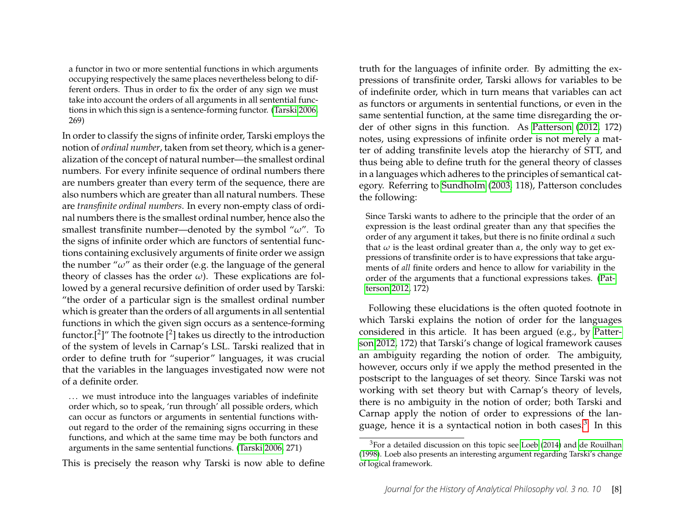a functor in two or more sentential functions in which arguments occupying respectively the same places nevertheless belong to different orders. Thus in order to fix the order of any sign we must take into account the orders of all arguments in all sentential functions in which this sign is a sentence-forming functor. [\(Tarski 2006,](#page-14-1) 269)

In order to classify the signs of infinite order, Tarski employs the notion of *ordinal number*, taken from set theory, which is a generalization of the concept of natural number—the smallest ordinal numbers. For every infinite sequence of ordinal numbers there are numbers greater than every term of the sequence, there are also numbers which are greater than all natural numbers. These are *transfinite ordinal numbers*. In every non-empty class of ordinal numbers there is the smallest ordinal number, hence also the smallest transfinite number—denoted by the symbol "*ω*". To the signs of infinite order which are functors of sentential functions containing exclusively arguments of finite order we assign the number "*ω*" as their order (e.g. the language of the general theory of classes has the order  $\omega$ ). These explications are followed by a general recursive definition of order used by Tarski: "the order of a particular sign is the smallest ordinal number which is greater than the orders of all arguments in all sentential functions in which the given sign occurs as a sentence-forming functor.[ $^{2}$ ]" The footnote [ $^{2}$ ] takes us directly to the introduction of the system of levels in Carnap's LSL. Tarski realized that in order to define truth for "superior" languages, it was crucial that the variables in the languages investigated now were not of a definite order.

... we must introduce into the languages variables of indefinite order which, so to speak, 'run through' all possible orders, which can occur as functors or arguments in sentential functions without regard to the order of the remaining signs occurring in these functions, and which at the same time may be both functors and arguments in the same sentential functions. [\(Tarski 2006,](#page-14-1) 271)

This is precisely the reason why Tarski is now able to define

truth for the languages of infinite order. By admitting the expressions of transfinite order, Tarski allows for variables to be of indefinite order, which in turn means that variables can act as functors or arguments in sentential functions, or even in the same sentential function, at the same time disregarding the order of other signs in this function. As [Patterson \(2012,](#page-13-5) 172) notes, using expressions of infinite order is not merely a matter of adding transfinite levels atop the hierarchy of STT, and thus being able to define truth for the general theory of classes in a languages which adheres to the principles of semantical category. Referring to [Sundholm](#page-13-4) [\(2003,](#page-13-4) 118), Patterson concludes the following:

Since Tarski wants to adhere to the principle that the order of an expression is the least ordinal greater than any that specifies the order of any argument it takes, but there is no finite ordinal *α* such that *ω* is the least ordinal greater than *α*, the only way to get expressions of transfinite order is to have expressions that take arguments of *all* finite orders and hence to allow for variability in the order of the arguments that a functional expressions takes. [\(Pat](#page-13-5)[terson 2012,](#page-13-5) 172)

Following these elucidations is the often quoted footnote in which Tarski explains the notion of order for the languages considered in this article. It has been argued (e.g., by [Patter](#page-13-5)[son 2012,](#page-13-5) 172) that Tarski's change of logical framework causes an ambiguity regarding the notion of order. The ambiguity, however, occurs only if we apply the method presented in the postscript to the languages of set theory. Since Tarski was not working with set theory but with Carnap's theory of levels, there is no ambiguity in the notion of order; both Tarski and Carnap apply the notion of order to expressions of the lan-guage, hence it is a syntactical notion in both cases.<sup>[3](#page-8-0)</sup> In this

<span id="page-8-0"></span><sup>&</sup>lt;sup>3</sup>For a detailed discussion on this topic see [Loeb \(2014\)](#page-13-6) and [de Rouilhan](#page-13-7) [\(1998\)](#page-13-7). Loeb also presents an interesting argument regarding Tarski's change of logical framework.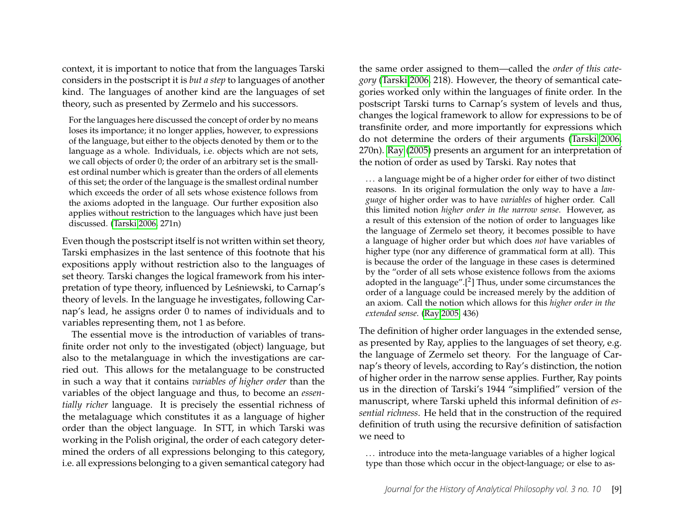context, it is important to notice that from the languages Tarski considers in the postscript it is *but a step* to languages of another kind. The languages of another kind are the languages of set theory, such as presented by Zermelo and his successors.

For the languages here discussed the concept of order by no means loses its importance; it no longer applies, however, to expressions of the language, but either to the objects denoted by them or to the language as a whole. Individuals, i.e. objects which are not sets, we call objects of order 0; the order of an arbitrary set is the smallest ordinal number which is greater than the orders of all elements of this set; the order of the language is the smallest ordinal number which exceeds the order of all sets whose existence follows from the axioms adopted in the language. Our further exposition also applies without restriction to the languages which have just been discussed. [\(Tarski 2006,](#page-14-1) 271n)

Even though the postscript itself is not written within set theory, Tarski emphasizes in the last sentence of this footnote that his expositions apply without restriction also to the languages of set theory. Tarski changes the logical framework from his interpretation of type theory, influenced by Leśniewski, to Carnap's theory of levels. In the language he investigates, following Carnap's lead, he assigns order 0 to names of individuals and to variables representing them, not 1 as before.

The essential move is the introduction of variables of transfinite order not only to the investigated (object) language, but also to the metalanguage in which the investigations are carried out. This allows for the metalanguage to be constructed in such a way that it contains *variables of higher order* than the variables of the object language and thus, to become an *essentially richer* language. It is precisely the essential richness of the metalaguage which constitutes it as a language of higher order than the object language. In STT, in which Tarski was working in the Polish original, the order of each category determined the orders of all expressions belonging to this category, i.e. all expressions belonging to a given semantical category had

the same order assigned to them—called the *order of this category* [\(Tarski 2006,](#page-14-1) 218). However, the theory of semantical categories worked only within the languages of finite order. In the postscript Tarski turns to Carnap's system of levels and thus, changes the logical framework to allow for expressions to be of transfinite order, and more importantly for expressions which do not determine the orders of their arguments [\(Tarski 2006,](#page-14-1) 270n). [Ray \(2005\)](#page-13-8) presents an argument for an interpretation of the notion of order as used by Tarski. Ray notes that

. . . a language might be of a higher order for either of two distinct reasons. In its original formulation the only way to have a *language* of higher order was to have *variables* of higher order. Call this limited notion *higher order in the narrow sense*. However, as a result of this extension of the notion of order to languages like the language of Zermelo set theory, it becomes possible to have a language of higher order but which does *not* have variables of higher type (nor any difference of grammatical form at all). This is because the order of the language in these cases is determined by the "order of all sets whose existence follows from the axioms adopted in the language".[<sup>2</sup> ] Thus, under some circumstances the order of a language could be increased merely by the addition of an axiom. Call the notion which allows for this *higher order in the extended sense*. [\(Ray 2005,](#page-13-8) 436)

The definition of higher order languages in the extended sense, as presented by Ray, applies to the languages of set theory, e.g. the language of Zermelo set theory. For the language of Carnap's theory of levels, according to Ray's distinction, the notion of higher order in the narrow sense applies. Further, Ray points us in the direction of Tarski's 1944 "simplified" version of the manuscript, where Tarski upheld this informal definition of *essential richness*. He held that in the construction of the required definition of truth using the recursive definition of satisfaction we need to

... introduce into the meta-language variables of a higher logical type than those which occur in the object-language; or else to as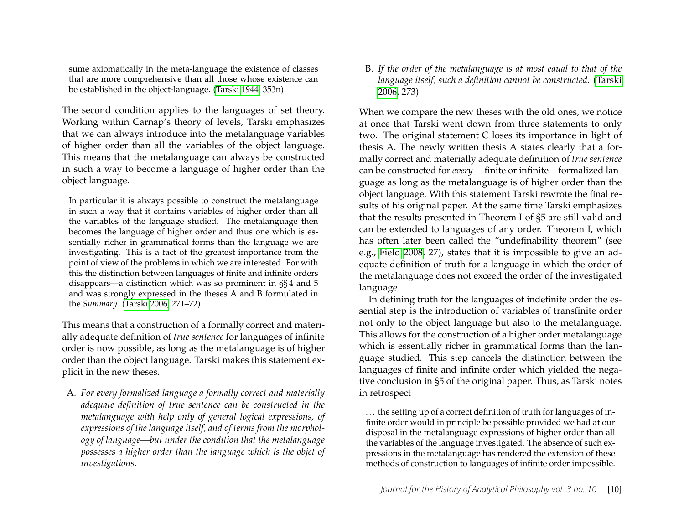sume axiomatically in the meta-language the existence of classes that are more comprehensive than all those whose existence can be established in the object-language. [\(Tarski 1944,](#page-14-4) 353n)

The second condition applies to the languages of set theory. Working within Carnap's theory of levels, Tarski emphasizes that we can always introduce into the metalanguage variables of higher order than all the variables of the object language. This means that the metalanguage can always be constructed in such a way to become a language of higher order than the object language.

In particular it is always possible to construct the metalanguage in such a way that it contains variables of higher order than all the variables of the language studied. The metalanguage then becomes the language of higher order and thus one which is essentially richer in grammatical forms than the language we are investigating. This is a fact of the greatest importance from the point of view of the problems in which we are interested. For with this the distinction between languages of finite and infinite orders disappears—a distinction which was so prominent in §§ 4 and 5 and was strongly expressed in the theses A and B formulated in the *Summary*. [\(Tarski 2006,](#page-14-1) 271–72)

This means that a construction of a formally correct and materially adequate definition of *true sentence* for languages of infinite order is now possible, as long as the metalanguage is of higher order than the object language. Tarski makes this statement explicit in the new theses.

A. *For every formalized language a formally correct and materially adequate definition of true sentence can be constructed in the metalanguage with help only of general logical expressions, of expressions of the language itself, and of terms from the morphology of language—but under the condition that the metalanguage possesses a higher order than the language which is the objet of investigations.*

B. *If the order of the metalanguage is at most equal to that of the language itself, such a definition cannot be constructed.* [\(Tarski](#page-14-1) [2006,](#page-14-1) 273)

When we compare the new theses with the old ones, we notice at once that Tarski went down from three statements to only two. The original statement C loses its importance in light of thesis A. The newly written thesis A states clearly that a formally correct and materially adequate definition of *true sentence* can be constructed for *every*— finite or infinite—formalized language as long as the metalanguage is of higher order than the object language. With this statement Tarski rewrote the final results of his original paper. At the same time Tarski emphasizes that the results presented in Theorem I of §5 are still valid and can be extended to languages of any order. Theorem I, which has often later been called the "undefinability theorem" (see e.g., [Field 2008,](#page-13-3) 27), states that it is impossible to give an adequate definition of truth for a language in which the order of the metalanguage does not exceed the order of the investigated language.

In defining truth for the languages of indefinite order the essential step is the introduction of variables of transfinite order not only to the object language but also to the metalanguage. This allows for the construction of a higher order metalanguage which is essentially richer in grammatical forms than the language studied. This step cancels the distinction between the languages of finite and infinite order which yielded the negative conclusion in §5 of the original paper. Thus, as Tarski notes in retrospect

... the setting up of a correct definition of truth for languages of infinite order would in principle be possible provided we had at our disposal in the metalanguage expressions of higher order than all the variables of the language investigated. The absence of such expressions in the metalanguage has rendered the extension of these methods of construction to languages of infinite order impossible.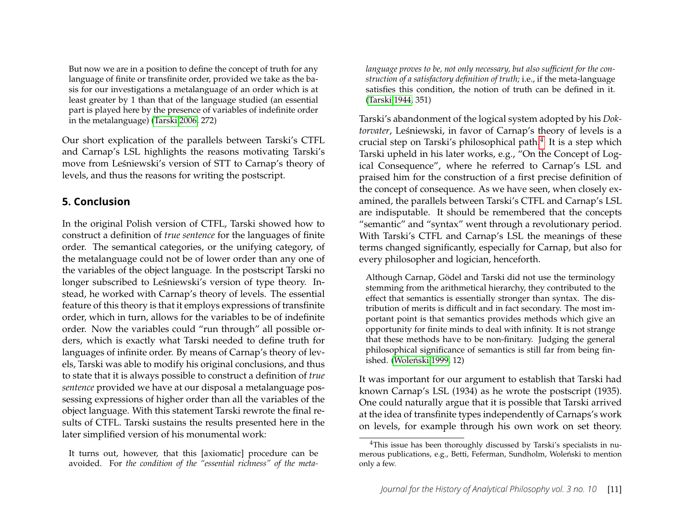But now we are in a position to define the concept of truth for any language of finite or transfinite order, provided we take as the basis for our investigations a metalanguage of an order which is at least greater by 1 than that of the language studied (an essential part is played here by the presence of variables of indefinite order in the metalanguage) [\(Tarski 2006,](#page-14-1) 272)

Our short explication of the parallels between Tarski's CTFL and Carnap's LSL highlights the reasons motivating Tarski's move from Leśniewski's version of STT to Carnap's theory of levels, and thus the reasons for writing the postscript.

### **5. Conclusion**

In the original Polish version of CTFL, Tarski showed how to construct a definition of *true sentence* for the languages of finite order. The semantical categories, or the unifying category, of the metalanguage could not be of lower order than any one of the variables of the object language. In the postscript Tarski no longer subscribed to Leśniewski's version of type theory. Instead, he worked with Carnap's theory of levels. The essential feature of this theory is that it employs expressions of transfinite order, which in turn, allows for the variables to be of indefinite order. Now the variables could "run through" all possible orders, which is exactly what Tarski needed to define truth for languages of infinite order. By means of Carnap's theory of levels, Tarski was able to modify his original conclusions, and thus to state that it is always possible to construct a definition of *true sentence* provided we have at our disposal a metalanguage possessing expressions of higher order than all the variables of the object language. With this statement Tarski rewrote the final results of CTFL. Tarski sustains the results presented here in the later simplified version of his monumental work:

It turns out, however, that this [axiomatic] procedure can be avoided. For *the condition of the "essential richness" of the meta-* *language proves to be, not only necessary, but also sufficient for the construction of a satisfactory definition of truth;* i.e., if the meta-language satisfies this condition, the notion of truth can be defined in it. [\(Tarski 1944,](#page-14-4) 351)

Tarski's abandonment of the logical system adopted by his *Dok*torvater, Leśniewski, in favor of Carnap's theory of levels is a crucial step on Tarski's philosophical path.<sup>[4](#page-11-0)</sup> It is a step which Tarski upheld in his later works, e.g., "On the Concept of Logical Consequence", where he referred to Carnap's LSL and praised him for the construction of a first precise definition of the concept of consequence. As we have seen, when closely examined, the parallels between Tarski's CTFL and Carnap's LSL are indisputable. It should be remembered that the concepts "semantic" and "syntax" went through a revolutionary period. With Tarski's CTFL and Carnap's LSL the meanings of these terms changed significantly, especially for Carnap, but also for every philosopher and logician, henceforth.

Although Carnap, Gödel and Tarski did not use the terminology stemming from the arithmetical hierarchy, they contributed to the effect that semantics is essentially stronger than syntax. The distribution of merits is difficult and in fact secondary. The most important point is that semantics provides methods which give an opportunity for finite minds to deal with infinity. It is not strange that these methods have to be non-finitary. Judging the general philosophical significance of semantics is still far from being finished. (Woleński 1999, 12)

It was important for our argument to establish that Tarski had known Carnap's LSL (1934) as he wrote the postscript (1935). One could naturally argue that it is possible that Tarski arrived at the idea of transfinite types independently of Carnaps's work on levels, for example through his own work on set theory.

<span id="page-11-0"></span><sup>&</sup>lt;sup>4</sup>This issue has been thoroughly discussed by Tarski's specialists in numerous publications, e.g., Betti, Feferman, Sundholm, Woleński to mention only a few.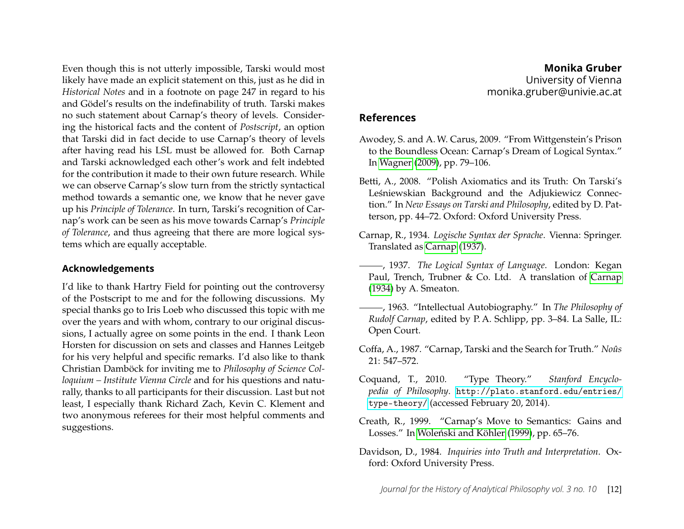Even though this is not utterly impossible, Tarski would most likely have made an explicit statement on this, just as he did in *Historical Notes* and in a footnote on page 247 in regard to his and Gödel's results on the indefinability of truth. Tarski makes no such statement about Carnap's theory of levels. Considering the historical facts and the content of *Postscript*, an option that Tarski did in fact decide to use Carnap's theory of levels after having read his LSL must be allowed for. Both Carnap and Tarski acknowledged each other's work and felt indebted for the contribution it made to their own future research. While we can observe Carnap's slow turn from the strictly syntactical method towards a semantic one, we know that he never gave up his *Principle of Tolerance*. In turn, Tarski's recognition of Carnap's work can be seen as his move towards Carnap's *Principle of Tolerance*, and thus agreeing that there are more logical systems which are equally acceptable.

#### **Acknowledgements**

I'd like to thank Hartry Field for pointing out the controversy of the Postscript to me and for the following discussions. My special thanks go to Iris Loeb who discussed this topic with me over the years and with whom, contrary to our original discussions, I actually agree on some points in the end. I thank Leon Horsten for discussion on sets and classes and Hannes Leitgeb for his very helpful and specific remarks. I'd also like to thank Christian Damböck for inviting me to *Philosophy of Science Colloquium – Institute Vienna Circle* and for his questions and naturally, thanks to all participants for their discussion. Last but not least, I especially thank Richard Zach, Kevin C. Klement and two anonymous referees for their most helpful comments and suggestions.

#### **References**

- Awodey, S. and A. W. Carus, 2009. "From Wittgenstein's Prison to the Boundless Ocean: Carnap's Dream of Logical Syntax." In [Wagner \(2009\)](#page-14-2), pp. 79–106.
- Betti, A., 2008. "Polish Axiomatics and its Truth: On Tarski's Leśniewskian Background and the Adjukiewicz Connection." In *New Essays on Tarski and Philosophy*, edited by D. Patterson, pp. 44–72. Oxford: Oxford University Press.
- <span id="page-12-4"></span>Carnap, R., 1934. *Logische Syntax der Sprache*. Vienna: Springer. Translated as [Carnap \(1937\)](#page-12-0).
- <span id="page-12-0"></span>, 1937. *The Logical Syntax of Language*. London: Kegan Paul, Trench, Trubner & Co. Ltd. A translation of [Carnap](#page-12-4) [\(1934\)](#page-12-4) by A. Smeaton.
- <span id="page-12-2"></span>, 1963. "Intellectual Autobiography." In *The Philosophy of Rudolf Carnap*, edited by P. A. Schlipp, pp. 3–84. La Salle, IL: Open Court.
- <span id="page-12-3"></span>Coffa, A., 1987. "Carnap, Tarski and the Search for Truth." *Noûs* 21: 547–572.
- Coquand, T., 2010. "Type Theory." *Stanford Encyclopedia of Philosophy*. [http://plato.stanford.edu/entries/](http://plato.stanford.edu/entries/type-theory/) [type-theory/](http://plato.stanford.edu/entries/type-theory/) (accessed February 20, 2014).
- Creath, R., 1999. "Carnap's Move to Semantics: Gains and Losses." In Woleński and Köhler (1999), pp. 65–76.
- <span id="page-12-1"></span>Davidson, D., 1984. *Inquiries into Truth and Interpretation*. Oxford: Oxford University Press.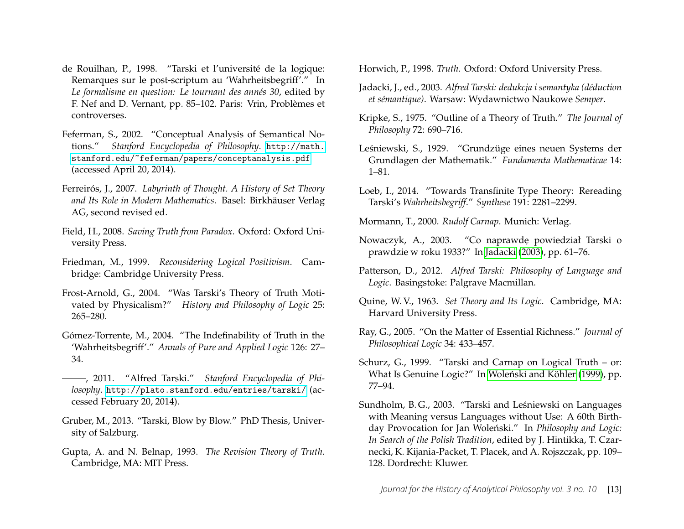- <span id="page-13-7"></span>de Rouilhan, P., 1998. "Tarski et l'université de la logique: Remarques sur le post-scriptum au 'Wahrheitsbegriff'." In *Le formalisme en question: Le tournant des annés 30*, edited by F. Nef and D. Vernant, pp. 85–102. Paris: Vrin, Problèmes et controverses.
- Feferman, S., 2002. "Conceptual Analysis of Semantical Notions." *Stanford Encyclopedia of Philosophy*. [http://math.](http://math.stanford.edu/~feferman/papers/conceptanalysis.pdf) [stanford.edu/~feferman/papers/conceptanalysis.pdf](http://math.stanford.edu/~feferman/papers/conceptanalysis.pdf) (accessed April 20, 2014).
- Ferreirós, J., 2007. *Labyrinth of Thought. A History of Set Theory and Its Role in Modern Mathematics*. Basel: Birkhäuser Verlag AG, second revised ed.
- <span id="page-13-3"></span>Field, H., 2008. *Saving Truth from Paradox*. Oxford: Oxford University Press.
- Friedman, M., 1999. *Reconsidering Logical Positivism*. Cambridge: Cambridge University Press.
- Frost-Arnold, G., 2004. "Was Tarski's Theory of Truth Motivated by Physicalism?" *History and Philosophy of Logic* 25: 265–280.
- Gómez-Torrente, M., 2004. "The Indefinability of Truth in the 'Wahrheitsbegriff'." *Annals of Pure and Applied Logic* 126: 27– 34.
- , 2011. "Alfred Tarski." *Stanford Encyclopedia of Philosophy*. <http://plato.stanford.edu/entries/tarski/> (accessed February 20, 2014).
- Gruber, M., 2013. "Tarski, Blow by Blow." PhD Thesis, University of Salzburg.
- <span id="page-13-0"></span>Gupta, A. and N. Belnap, 1993. *The Revision Theory of Truth*. Cambridge, MA: MIT Press.

<span id="page-13-2"></span>Horwich, P., 1998. *Truth*. Oxford: Oxford University Press.

- <span id="page-13-9"></span>Jadacki, J., ed., 2003. *Alfred Tarski: dedukcja i semantyka (déduction et sémantique)*. Warsaw: Wydawnictwo Naukowe *Semper*.
- <span id="page-13-1"></span>Kripke, S., 1975. "Outline of a Theory of Truth." *The Journal of Philosophy* 72: 690–716.
- Leśniewski, S., 1929. "Grundzüge eines neuen Systems der Grundlagen der Mathematik." *Fundamenta Mathematicae* 14: 1–81.
- <span id="page-13-6"></span>Loeb, I., 2014. "Towards Transfinite Type Theory: Rereading Tarski's *Wahrheitsbegriff*." *Synthese* 191: 2281–2299.
- Mormann, T., 2000. *Rudolf Carnap*. Munich: Verlag.
- Nowaczyk, A., 2003. "Co naprawdę powiedział Tarski o prawdzie w roku 1933?" In [Jadacki](#page-13-9) [\(2003\)](#page-13-9), pp. 61–76.
- <span id="page-13-5"></span>Patterson, D., 2012. *Alfred Tarski: Philosophy of Language and Logic*. Basingstoke: Palgrave Macmillan.
- Quine, W. V., 1963. *Set Theory and Its Logic*. Cambridge, MA: Harvard University Press.
- <span id="page-13-8"></span>Ray, G., 2005. "On the Matter of Essential Richness." *Journal of Philosophical Logic* 34: 433–457.
- Schurz, G., 1999. "Tarski and Carnap on Logical Truth or: What Is Genuine Logic?" In Woleński and Köhler (1999), pp. 77–94.
- <span id="page-13-4"></span>Sundholm, B. G., 2003. "Tarski and Leśniewski on Languages with Meaning versus Languages without Use: A 60th Birthday Provocation for Jan Woleński." In *Philosophy and Logic: In Search of the Polish Tradition*, edited by J. Hintikka, T. Czarnecki, K. Kijania-Packet, T. Placek, and A. Rojszczak, pp. 109– 128. Dordrecht: Kluwer.